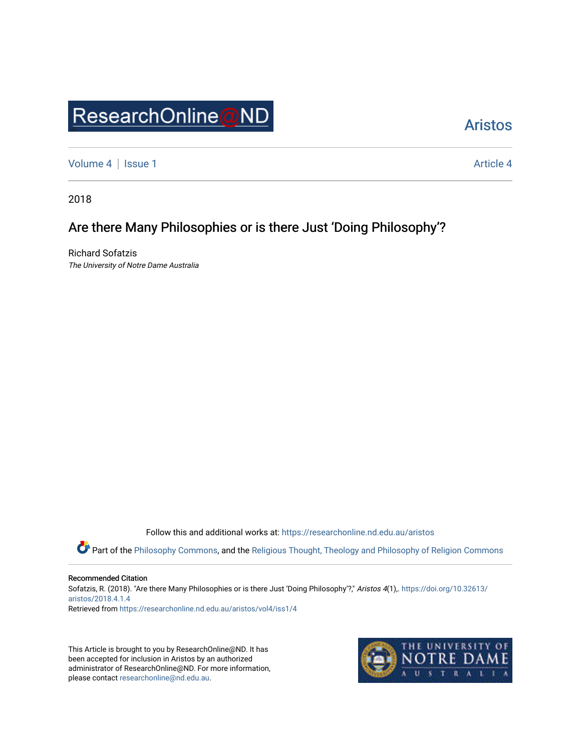# ResearchOnline@ND

# [Aristos](https://researchonline.nd.edu.au/aristos)

[Volume 4](https://researchonline.nd.edu.au/aristos/vol4) | [Issue 1](https://researchonline.nd.edu.au/aristos/vol4/iss1) [Article 4](https://researchonline.nd.edu.au/aristos/vol4/iss1/4) | Article 4 Article 4 | Article 4 Article 4 | Article 4 | Article 4 | Article 4 |

2018

# Are there Many Philosophies or is there Just 'Doing Philosophy'?

Richard Sofatzis The University of Notre Dame Australia

Follow this and additional works at: [https://researchonline.nd.edu.au/aristos](https://researchonline.nd.edu.au/aristos?utm_source=researchonline.nd.edu.au%2Faristos%2Fvol4%2Fiss1%2F4&utm_medium=PDF&utm_campaign=PDFCoverPages) 

Part of the [Philosophy Commons](http://network.bepress.com/hgg/discipline/525?utm_source=researchonline.nd.edu.au%2Faristos%2Fvol4%2Fiss1%2F4&utm_medium=PDF&utm_campaign=PDFCoverPages), and the [Religious Thought, Theology and Philosophy of Religion Commons](http://network.bepress.com/hgg/discipline/544?utm_source=researchonline.nd.edu.au%2Faristos%2Fvol4%2Fiss1%2F4&utm_medium=PDF&utm_campaign=PDFCoverPages) 

Recommended Citation

Sofatzis, R. (2018). "Are there Many Philosophies or is there Just 'Doing Philosophy'?," Aristos 4(1),. [https://doi.org/10.32613/](https://doi.org/10.32613/aristos/2018.4.1.4) [aristos/2018.4.1.4](https://doi.org/10.32613/aristos/2018.4.1.4)

Retrieved from [https://researchonline.nd.edu.au/aristos/vol4/iss1/4](https://researchonline.nd.edu.au/aristos/vol4/iss1/4?utm_source=researchonline.nd.edu.au%2Faristos%2Fvol4%2Fiss1%2F4&utm_medium=PDF&utm_campaign=PDFCoverPages)

This Article is brought to you by ResearchOnline@ND. It has been accepted for inclusion in Aristos by an authorized administrator of ResearchOnline@ND. For more information, please contact [researchonline@nd.edu.au.](mailto:researchonline@nd.edu.au)

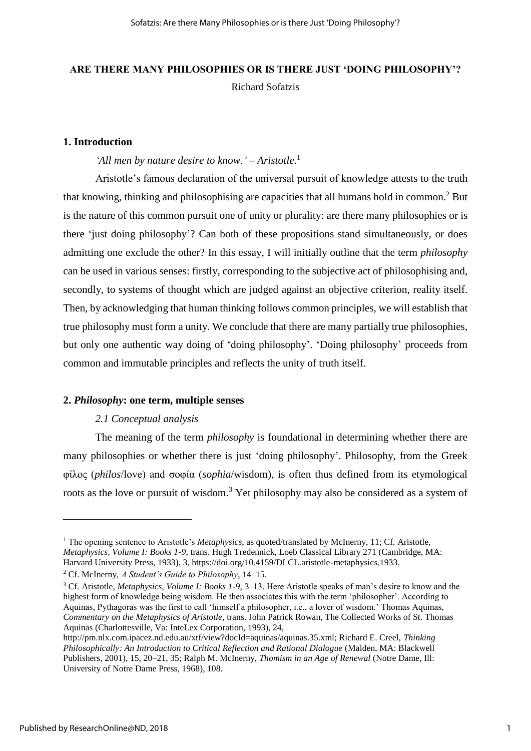# **ARE THERE MANY PHILOSOPHIES OR IS THERE JUST 'DOING PHILOSOPHY'?** Richard Sofatzis

# **1. Introduction**

#### *'All men by nature desire to know.' – Aristotle.*<sup>1</sup>

Aristotle's famous declaration of the universal pursuit of knowledge attests to the truth that knowing, thinking and philosophising are capacities that all humans hold in common.<sup>2</sup> But is the nature of this common pursuit one of unity or plurality: are there many philosophies or is there 'just doing philosophy'? Can both of these propositions stand simultaneously, or does admitting one exclude the other? In this essay, I will initially outline that the term *philosophy* can be used in various senses: firstly, corresponding to the subjective act of philosophising and, secondly, to systems of thought which are judged against an objective criterion, reality itself. Then, by acknowledging that human thinking follows common principles, we will establish that true philosophy must form a unity. We conclude that there are many partially true philosophies, but only one authentic way doing of 'doing philosophy'. 'Doing philosophy' proceeds from common and immutable principles and reflects the unity of truth itself.

#### **2.** *Philosophy***: one term, multiple senses**

# *2.1 Conceptual analysis*

The meaning of the term *philosophy* is foundational in determining whether there are many philosophies or whether there is just 'doing philosophy'. Philosophy, from the Greek φίλος (*philos*/love) and σοφία (*sophia*/wisdom), is often thus defined from its etymological roots as the love or pursuit of wisdom.<sup>3</sup> Yet philosophy may also be considered as a system of

<sup>&</sup>lt;sup>1</sup> The opening sentence to Aristotle's *Metaphysics*, as quoted/translated by McInerny, 11; Cf. Aristotle, *Metaphysics, Volume I: Books 1-9*, trans. Hugh Tredennick, Loeb Classical Library 271 (Cambridge, MA: Harvard University Press, 1933), 3, https://doi.org/10.4159/DLCL.aristotle-metaphysics.1933.

<sup>2</sup> Cf. McInerny, *A Student's Guide to Philosophy*, 14–15.

<sup>3</sup> Cf. Aristotle, *Metaphysics, Volume I: Books 1-9*, 3–13. Here Aristotle speaks of man's desire to know and the highest form of knowledge being wisdom. He then associates this with the term 'philosopher'. According to Aquinas, Pythagoras was the first to call 'himself a philosopher, i.e., a lover of wisdom.' Thomas Aquinas, *Commentary on the Metaphysics of Aristotle*, trans. John Patrick Rowan, The Collected Works of St. Thomas Aquinas (Charlottesville, Va: InteLex Corporation, 1993), 24,

http://pm.nlx.com.ipacez.nd.edu.au/xtf/view?docId=aquinas/aquinas.35.xml; Richard E. Creel, *Thinking Philosophically: An Introduction to Critical Reflection and Rational Dialogue* (Malden, MA: Blackwell Publishers, 2001), 15, 20–21, 35; Ralph M. McInerny, *Thomism in an Age of Renewal* (Notre Dame, Ill: University of Notre Dame Press, 1968), 108.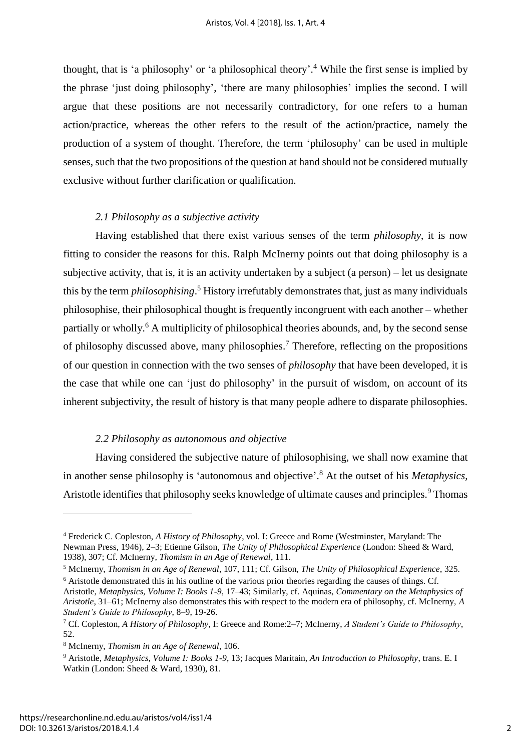thought, that is 'a philosophy' or 'a philosophical theory'. 4 While the first sense is implied by the phrase 'just doing philosophy', 'there are many philosophies' implies the second. I will argue that these positions are not necessarily contradictory, for one refers to a human action/practice, whereas the other refers to the result of the action/practice, namely the production of a system of thought. Therefore, the term 'philosophy' can be used in multiple senses, such that the two propositions of the question at hand should not be considered mutually exclusive without further clarification or qualification.

# *2.1 Philosophy as a subjective activity*

Having established that there exist various senses of the term *philosophy*, it is now fitting to consider the reasons for this. Ralph McInerny points out that doing philosophy is a subjective activity, that is, it is an activity undertaken by a subject (a person) – let us designate this by the term *philosophising*.<sup>5</sup> History irrefutably demonstrates that, just as many individuals philosophise, their philosophical thought is frequently incongruent with each another – whether partially or wholly.<sup>6</sup> A multiplicity of philosophical theories abounds, and, by the second sense of philosophy discussed above, many philosophies.<sup>7</sup> Therefore, reflecting on the propositions of our question in connection with the two senses of *philosophy* that have been developed, it is the case that while one can 'just do philosophy' in the pursuit of wisdom, on account of its inherent subjectivity, the result of history is that many people adhere to disparate philosophies.

# *2.2 Philosophy as autonomous and objective*

Having considered the subjective nature of philosophising, we shall now examine that in another sense philosophy is 'autonomous and objective'. 8 At the outset of his *Metaphysics,*  Aristotle identifies that philosophy seeks knowledge of ultimate causes and principles.<sup>9</sup> Thomas

<sup>4</sup> Frederick C. Copleston, *A History of Philosophy*, vol. I: Greece and Rome (Westminster, Maryland: The Newman Press, 1946), 2–3; Etienne Gilson, *The Unity of Philosophical Experience* (London: Sheed & Ward, 1938), 307; Cf. McInerny, *Thomism in an Age of Renewal*, 111.

<sup>5</sup> McInerny, *Thomism in an Age of Renewal*, 107, 111; Cf. Gilson, *The Unity of Philosophical Experience*, 325. <sup>6</sup> Aristotle demonstrated this in his outline of the various prior theories regarding the causes of things. Cf.

Aristotle, *Metaphysics, Volume I: Books 1-9*, 17–43; Similarly, cf. Aquinas, *Commentary on the Metaphysics of Aristotle*, 31–61; McInerny also demonstrates this with respect to the modern era of philosophy, cf. McInerny, *A Student's Guide to Philosophy*, 8–9, 19-26.

<sup>7</sup> Cf. Copleston, *A History of Philosophy*, I: Greece and Rome:2–7; McInerny, *A Student's Guide to Philosophy*, 52.

<sup>8</sup> McInerny, *Thomism in an Age of Renewal*, 106.

<sup>9</sup> Aristotle, *Metaphysics, Volume I: Books 1-9*, 13; Jacques Maritain, *An Introduction to Philosophy*, trans. E. I Watkin (London: Sheed & Ward, 1930), 81.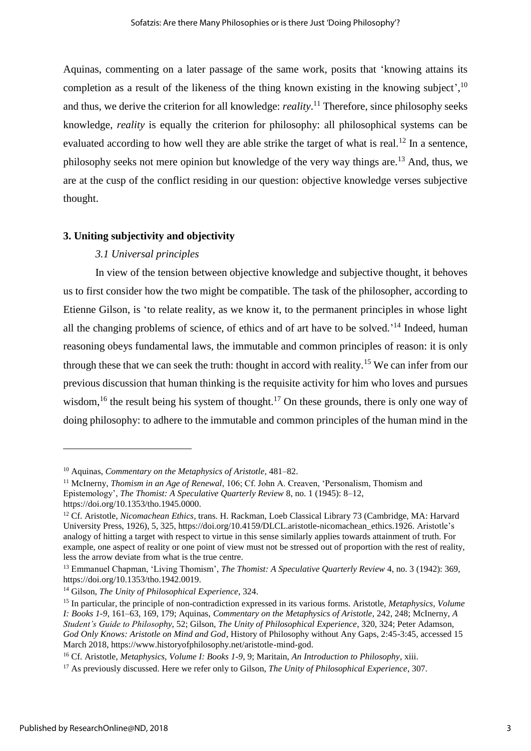Aquinas, commenting on a later passage of the same work, posits that 'knowing attains its completion as a result of the likeness of the thing known existing in the knowing subject',  $10$ and thus, we derive the criterion for all knowledge: *reality*. <sup>11</sup> Therefore, since philosophy seeks knowledge, *reality* is equally the criterion for philosophy: all philosophical systems can be evaluated according to how well they are able strike the target of what is real.<sup>12</sup> In a sentence, philosophy seeks not mere opinion but knowledge of the very way things are.<sup>13</sup> And, thus, we are at the cusp of the conflict residing in our question: objective knowledge verses subjective thought.

#### **3. Uniting subjectivity and objectivity**

#### *3.1 Universal principles*

In view of the tension between objective knowledge and subjective thought, it behoves us to first consider how the two might be compatible. The task of the philosopher, according to Etienne Gilson, is 'to relate reality, as we know it, to the permanent principles in whose light all the changing problems of science, of ethics and of art have to be solved.<sup> $14$ </sup> Indeed, human reasoning obeys fundamental laws, the immutable and common principles of reason: it is only through these that we can seek the truth: thought in accord with reality.<sup>15</sup> We can infer from our previous discussion that human thinking is the requisite activity for him who loves and pursues wisdom,<sup>16</sup> the result being his system of thought.<sup>17</sup> On these grounds, there is only one way of doing philosophy: to adhere to the immutable and common principles of the human mind in the

<sup>10</sup> Aquinas, *Commentary on the Metaphysics of Aristotle*, 481–82.

<sup>11</sup> McInerny, *Thomism in an Age of Renewal*, 106; Cf. John A. Creaven, 'Personalism, Thomism and Epistemology', *The Thomist: A Speculative Quarterly Review* 8, no. 1 (1945): 8–12,

https://doi.org/10.1353/tho.1945.0000.

<sup>12</sup> Cf. Aristotle, *Nicomachean Ethics*, trans. H. Rackman, Loeb Classical Library 73 (Cambridge, MA: Harvard University Press, 1926), 5, 325, https://doi.org/10.4159/DLCL.aristotle-nicomachean\_ethics.1926. Aristotle's analogy of hitting a target with respect to virtue in this sense similarly applies towards attainment of truth. For example, one aspect of reality or one point of view must not be stressed out of proportion with the rest of reality, less the arrow deviate from what is the true centre.

<sup>13</sup> Emmanuel Chapman, 'Living Thomism', *The Thomist: A Speculative Quarterly Review* 4, no. 3 (1942): 369, https://doi.org/10.1353/tho.1942.0019.

<sup>14</sup> Gilson, *The Unity of Philosophical Experience*, 324.

<sup>15</sup> In particular, the principle of non-contradiction expressed in its various forms. Aristotle, *Metaphysics, Volume I: Books 1-9*, 161–63, 169, 179; Aquinas, *Commentary on the Metaphysics of Aristotle*, 242, 248; McInerny, *A Student's Guide to Philosophy*, 52; Gilson, *The Unity of Philosophical Experience*, 320, 324; Peter Adamson, *God Only Knows: Aristotle on Mind and God*, History of Philosophy without Any Gaps, 2:45-3:45, accessed 15 March 2018, https://www.historyofphilosophy.net/aristotle-mind-god.

<sup>16</sup> Cf. Aristotle, *Metaphysics, Volume I: Books 1-9*, 9; Maritain, *An Introduction to Philosophy*, xiii.

<sup>17</sup> As previously discussed. Here we refer only to Gilson, *The Unity of Philosophical Experience*, 307.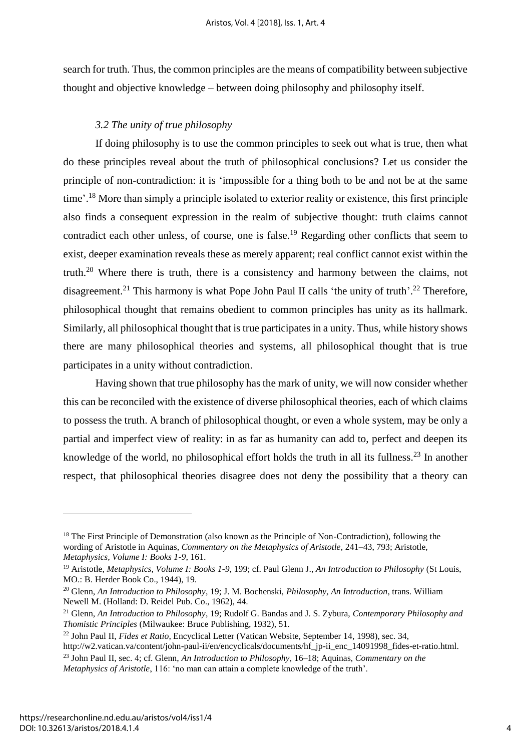search for truth. Thus, the common principles are the means of compatibility between subjective thought and objective knowledge – between doing philosophy and philosophy itself.

# *3.2 The unity of true philosophy*

If doing philosophy is to use the common principles to seek out what is true, then what do these principles reveal about the truth of philosophical conclusions? Let us consider the principle of non-contradiction: it is 'impossible for a thing both to be and not be at the same time'.<sup>18</sup> More than simply a principle isolated to exterior reality or existence, this first principle also finds a consequent expression in the realm of subjective thought: truth claims cannot contradict each other unless, of course, one is false.<sup>19</sup> Regarding other conflicts that seem to exist, deeper examination reveals these as merely apparent; real conflict cannot exist within the truth.<sup>20</sup> Where there is truth, there is a consistency and harmony between the claims, not disagreement.<sup>21</sup> This harmony is what Pope John Paul II calls 'the unity of truth'.<sup>22</sup> Therefore, philosophical thought that remains obedient to common principles has unity as its hallmark. Similarly, all philosophical thought that is true participates in a unity. Thus, while history shows there are many philosophical theories and systems, all philosophical thought that is true participates in a unity without contradiction.

Having shown that true philosophy has the mark of unity, we will now consider whether this can be reconciled with the existence of diverse philosophical theories, each of which claims to possess the truth. A branch of philosophical thought, or even a whole system, may be only a partial and imperfect view of reality: in as far as humanity can add to, perfect and deepen its knowledge of the world, no philosophical effort holds the truth in all its fullness.<sup>23</sup> In another respect, that philosophical theories disagree does not deny the possibility that a theory can

<sup>&</sup>lt;sup>18</sup> The First Principle of Demonstration (also known as the Principle of Non-Contradiction), following the wording of Aristotle in Aquinas, *Commentary on the Metaphysics of Aristotle*, 241–43, 793; Aristotle, *Metaphysics, Volume I: Books 1-9*, 161.

<sup>19</sup> Aristotle, *Metaphysics, Volume I: Books 1-9*, 199; cf. Paul Glenn J., *An Introduction to Philosophy* (St Louis, MO.: B. Herder Book Co., 1944), 19.

<sup>20</sup> Glenn, *An Introduction to Philosophy*, 19; J. M. Bochenski, *Philosophy, An Introduction*, trans. William Newell M. (Holland: D. Reidel Pub. Co., 1962), 44.

<sup>21</sup> Glenn, *An Introduction to Philosophy*, 19; Rudolf G. Bandas and J. S. Zybura, *Contemporary Philosophy and Thomistic Principles* (Milwaukee: Bruce Publishing, 1932), 51.

<sup>22</sup> John Paul II, *Fides et Ratio*, Encyclical Letter (Vatican Website, September 14, 1998), sec. 34,

http://w2.vatican.va/content/john-paul-ii/en/encyclicals/documents/hf\_jp-ii\_enc\_14091998\_fides-et-ratio.html.

<sup>23</sup> John Paul II, sec. 4; cf. Glenn, *An Introduction to Philosophy*, 16–18; Aquinas, *Commentary on the Metaphysics of Aristotle*, 116: 'no man can attain a complete knowledge of the truth'.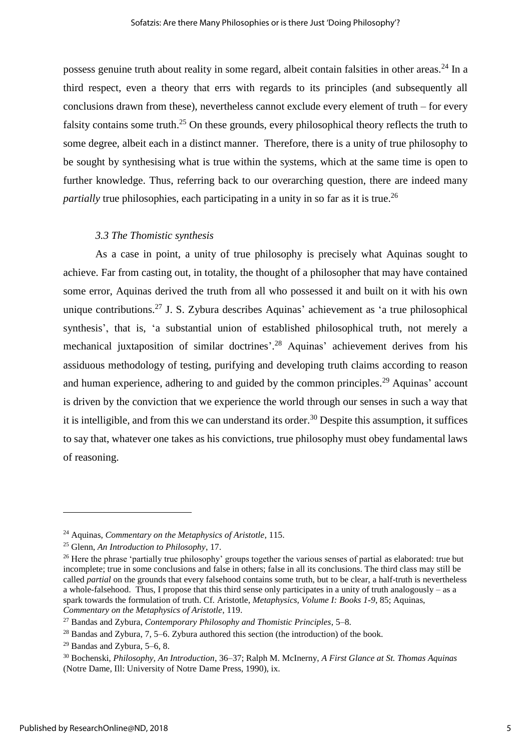possess genuine truth about reality in some regard, albeit contain falsities in other areas.<sup>24</sup> In a third respect, even a theory that errs with regards to its principles (and subsequently all conclusions drawn from these), nevertheless cannot exclude every element of truth – for every falsity contains some truth.<sup>25</sup> On these grounds, every philosophical theory reflects the truth to some degree, albeit each in a distinct manner. Therefore, there is a unity of true philosophy to be sought by synthesising what is true within the systems, which at the same time is open to further knowledge. Thus, referring back to our overarching question, there are indeed many *partially* true philosophies, each participating in a unity in so far as it is true.<sup>26</sup>

#### *3.3 The Thomistic synthesis*

As a case in point, a unity of true philosophy is precisely what Aquinas sought to achieve. Far from casting out, in totality, the thought of a philosopher that may have contained some error, Aquinas derived the truth from all who possessed it and built on it with his own unique contributions.<sup>27</sup> J. S. Zybura describes Aquinas' achievement as 'a true philosophical synthesis', that is, 'a substantial union of established philosophical truth, not merely a mechanical juxtaposition of similar doctrines'.<sup>28</sup> Aquinas' achievement derives from his assiduous methodology of testing, purifying and developing truth claims according to reason and human experience, adhering to and guided by the common principles.<sup>29</sup> Aquinas' account is driven by the conviction that we experience the world through our senses in such a way that it is intelligible, and from this we can understand its order.<sup>30</sup> Despite this assumption, it suffices to say that, whatever one takes as his convictions, true philosophy must obey fundamental laws of reasoning.

<sup>24</sup> Aquinas, *Commentary on the Metaphysics of Aristotle*, 115.

<sup>25</sup> Glenn, *An Introduction to Philosophy*, 17.

<sup>&</sup>lt;sup>26</sup> Here the phrase 'partially true philosophy' groups together the various senses of partial as elaborated: true but incomplete; true in some conclusions and false in others; false in all its conclusions. The third class may still be called *partial* on the grounds that every falsehood contains some truth, but to be clear, a half-truth is nevertheless a whole-falsehood. Thus, I propose that this third sense only participates in a unity of truth analogously – as a spark towards the formulation of truth. Cf. Aristotle, *Metaphysics, Volume I: Books 1-9*, 85; Aquinas, *Commentary on the Metaphysics of Aristotle*, 119.

<sup>27</sup> Bandas and Zybura, *Contemporary Philosophy and Thomistic Principles*, 5–8.

 $^{28}$  Bandas and Zybura, 7, 5–6. Zybura authored this section (the introduction) of the book.

 $29$  Bandas and Zybura, 5–6, 8.

<sup>30</sup> Bochenski, *Philosophy, An Introduction*, 36–37; Ralph M. McInerny, *A First Glance at St. Thomas Aquinas* (Notre Dame, Ill: University of Notre Dame Press, 1990), ix.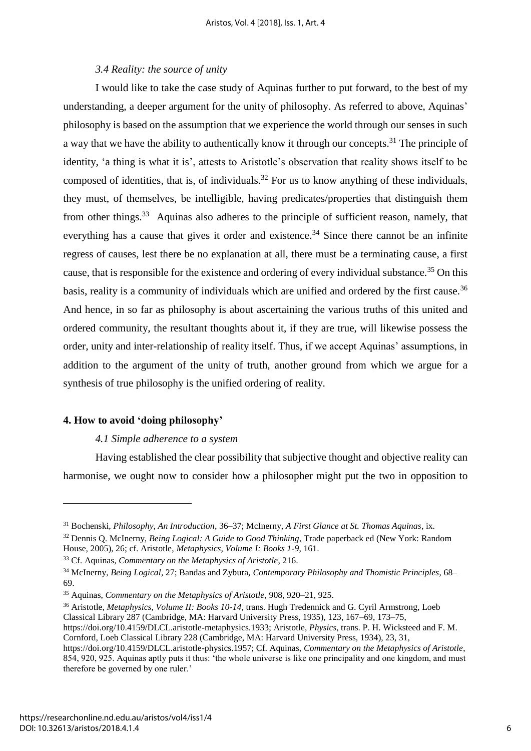#### *3.4 Reality: the source of unity*

I would like to take the case study of Aquinas further to put forward, to the best of my understanding, a deeper argument for the unity of philosophy. As referred to above, Aquinas' philosophy is based on the assumption that we experience the world through our senses in such a way that we have the ability to authentically know it through our concepts.<sup>31</sup> The principle of identity, 'a thing is what it is', attests to Aristotle's observation that reality shows itself to be composed of identities, that is, of individuals.<sup>32</sup> For us to know anything of these individuals, they must, of themselves, be intelligible, having predicates/properties that distinguish them from other things.<sup>33</sup> Aquinas also adheres to the principle of sufficient reason, namely, that everything has a cause that gives it order and existence.<sup>34</sup> Since there cannot be an infinite regress of causes, lest there be no explanation at all, there must be a terminating cause, a first cause, that is responsible for the existence and ordering of every individual substance.<sup>35</sup> On this basis, reality is a community of individuals which are unified and ordered by the first cause.<sup>36</sup> And hence, in so far as philosophy is about ascertaining the various truths of this united and ordered community, the resultant thoughts about it, if they are true, will likewise possess the order, unity and inter-relationship of reality itself. Thus, if we accept Aquinas' assumptions, in addition to the argument of the unity of truth, another ground from which we argue for a synthesis of true philosophy is the unified ordering of reality.

#### **4. How to avoid 'doing philosophy'**

 $\overline{a}$ 

#### *4.1 Simple adherence to a system*

Having established the clear possibility that subjective thought and objective reality can harmonise, we ought now to consider how a philosopher might put the two in opposition to

<sup>31</sup> Bochenski, *Philosophy, An Introduction*, 36–37; McInerny, *A First Glance at St. Thomas Aquinas*, ix.

<sup>32</sup> Dennis Q. McInerny, *Being Logical: A Guide to Good Thinking*, Trade paperback ed (New York: Random House, 2005), 26; cf. Aristotle, *Metaphysics, Volume I: Books 1-9*, 161.

<sup>33</sup> Cf. Aquinas, *Commentary on the Metaphysics of Aristotle*, 216.

<sup>34</sup> McInerny, *Being Logical*, 27; Bandas and Zybura, *Contemporary Philosophy and Thomistic Principles*, 68– 69.

<sup>35</sup> Aquinas, *Commentary on the Metaphysics of Aristotle*, 908, 920–21, 925.

<sup>36</sup> Aristotle, *Metaphysics, Volume II: Books 10-14*, trans. Hugh Tredennick and G. Cyril Armstrong, Loeb Classical Library 287 (Cambridge, MA: Harvard University Press, 1935), 123, 167–69, 173–75,

https://doi.org/10.4159/DLCL.aristotle-metaphysics.1933; Aristotle, *Physics*, trans. P. H. Wicksteed and F. M. Cornford, Loeb Classical Library 228 (Cambridge, MA: Harvard University Press, 1934), 23, 31,

https://doi.org/10.4159/DLCL.aristotle-physics.1957; Cf. Aquinas, *Commentary on the Metaphysics of Aristotle*, 854, 920, 925. Aquinas aptly puts it thus: 'the whole universe is like one principality and one kingdom, and must therefore be governed by one ruler.'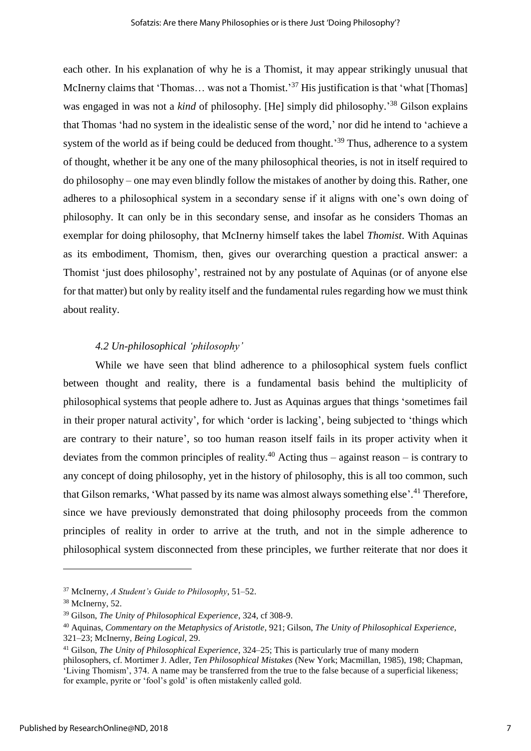each other. In his explanation of why he is a Thomist, it may appear strikingly unusual that McInerny claims that 'Thomas... was not a Thomist.'<sup>37</sup> His justification is that 'what [Thomas] was engaged in was not a *kind* of philosophy. [He] simply did philosophy.' <sup>38</sup> Gilson explains that Thomas 'had no system in the idealistic sense of the word,' nor did he intend to 'achieve a system of the world as if being could be deduced from thought.<sup>39</sup> Thus, adherence to a system of thought, whether it be any one of the many philosophical theories, is not in itself required to do philosophy – one may even blindly follow the mistakes of another by doing this. Rather, one adheres to a philosophical system in a secondary sense if it aligns with one's own doing of philosophy. It can only be in this secondary sense, and insofar as he considers Thomas an exemplar for doing philosophy, that McInerny himself takes the label *Thomist*. With Aquinas as its embodiment, Thomism, then, gives our overarching question a practical answer: a Thomist 'just does philosophy', restrained not by any postulate of Aquinas (or of anyone else for that matter) but only by reality itself and the fundamental rules regarding how we must think about reality.

# *4.2 Un-philosophical 'philosophy'*

While we have seen that blind adherence to a philosophical system fuels conflict between thought and reality, there is a fundamental basis behind the multiplicity of philosophical systems that people adhere to. Just as Aquinas argues that things 'sometimes fail in their proper natural activity', for which 'order is lacking', being subjected to 'things which are contrary to their nature', so too human reason itself fails in its proper activity when it deviates from the common principles of reality.<sup>40</sup> Acting thus – against reason – is contrary to any concept of doing philosophy, yet in the history of philosophy, this is all too common, such that Gilson remarks, 'What passed by its name was almost always something else'.<sup>41</sup> Therefore, since we have previously demonstrated that doing philosophy proceeds from the common principles of reality in order to arrive at the truth, and not in the simple adherence to philosophical system disconnected from these principles, we further reiterate that nor does it

<sup>37</sup> McInerny, *A Student's Guide to Philosophy*, 51–52.

<sup>38</sup> McInerny, 52.

<sup>39</sup> Gilson, *The Unity of Philosophical Experience*, 324, cf 308-9.

<sup>40</sup> Aquinas, *Commentary on the Metaphysics of Aristotle*, 921; Gilson, *The Unity of Philosophical Experience*, 321–23; McInerny, *Being Logical*, 29.

<sup>41</sup> Gilson, *The Unity of Philosophical Experience*, 324–25; This is particularly true of many modern

philosophers, cf. Mortimer J. Adler, *Ten Philosophical Mistakes* (New York; Macmillan, 1985), 198; Chapman, 'Living Thomism', 374. A name may be transferred from the true to the false because of a superficial likeness; for example, pyrite or 'fool's gold' is often mistakenly called gold.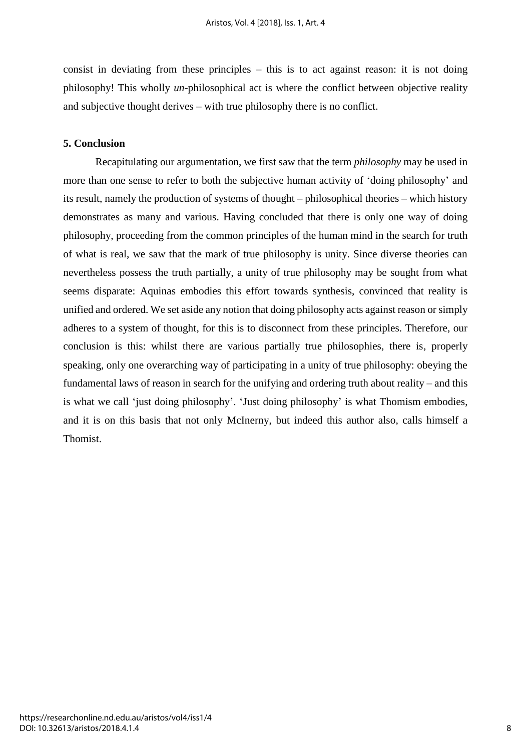consist in deviating from these principles – this is to act against reason: it is not doing philosophy! This wholly *un-*philosophical act is where the conflict between objective reality and subjective thought derives – with true philosophy there is no conflict.

# **5. Conclusion**

Recapitulating our argumentation, we first saw that the term *philosophy* may be used in more than one sense to refer to both the subjective human activity of 'doing philosophy' and its result, namely the production of systems of thought – philosophical theories – which history demonstrates as many and various. Having concluded that there is only one way of doing philosophy, proceeding from the common principles of the human mind in the search for truth of what is real, we saw that the mark of true philosophy is unity. Since diverse theories can nevertheless possess the truth partially, a unity of true philosophy may be sought from what seems disparate: Aquinas embodies this effort towards synthesis, convinced that reality is unified and ordered. We set aside any notion that doing philosophy acts against reason or simply adheres to a system of thought, for this is to disconnect from these principles. Therefore, our conclusion is this: whilst there are various partially true philosophies, there is, properly speaking, only one overarching way of participating in a unity of true philosophy: obeying the fundamental laws of reason in search for the unifying and ordering truth about reality – and this is what we call 'just doing philosophy'. 'Just doing philosophy' is what Thomism embodies, and it is on this basis that not only McInerny, but indeed this author also, calls himself a Thomist.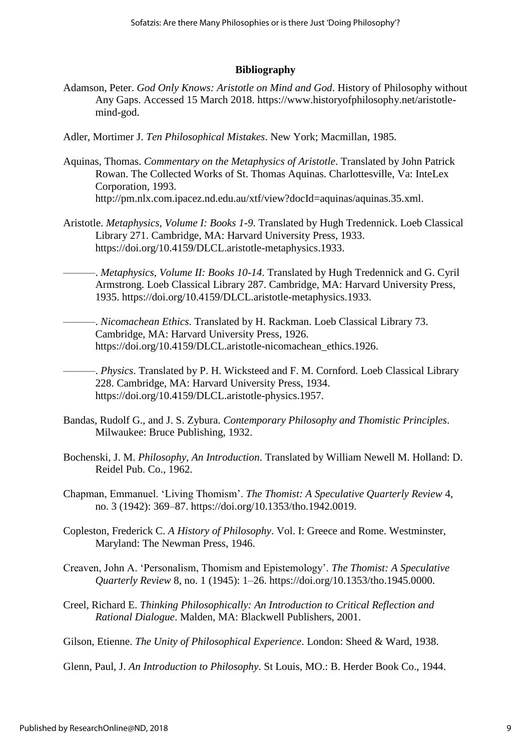### **Bibliography**

- Adamson, Peter. *God Only Knows: Aristotle on Mind and God*. History of Philosophy without Any Gaps. Accessed 15 March 2018. https://www.historyofphilosophy.net/aristotlemind-god.
- Adler, Mortimer J. *Ten Philosophical Mistakes*. New York; Macmillan, 1985.
- Aquinas, Thomas. *Commentary on the Metaphysics of Aristotle*. Translated by John Patrick Rowan. The Collected Works of St. Thomas Aquinas. Charlottesville, Va: InteLex Corporation, 1993. http://pm.nlx.com.ipacez.nd.edu.au/xtf/view?docId=aquinas/aquinas.35.xml.
- Aristotle. *Metaphysics, Volume I: Books 1-9*. Translated by Hugh Tredennick. Loeb Classical Library 271. Cambridge, MA: Harvard University Press, 1933. https://doi.org/10.4159/DLCL.aristotle-metaphysics.1933.
	- ———. *Metaphysics, Volume II: Books 10-14*. Translated by Hugh Tredennick and G. Cyril Armstrong. Loeb Classical Library 287. Cambridge, MA: Harvard University Press, 1935. https://doi.org/10.4159/DLCL.aristotle-metaphysics.1933.
	- ———. *Nicomachean Ethics*. Translated by H. Rackman. Loeb Classical Library 73. Cambridge, MA: Harvard University Press, 1926. https://doi.org/10.4159/DLCL.aristotle-nicomachean\_ethics.1926.

———. *Physics*. Translated by P. H. Wicksteed and F. M. Cornford. Loeb Classical Library 228. Cambridge, MA: Harvard University Press, 1934. https://doi.org/10.4159/DLCL.aristotle-physics.1957.

- Bandas, Rudolf G., and J. S. Zybura. *Contemporary Philosophy and Thomistic Principles*. Milwaukee: Bruce Publishing, 1932.
- Bochenski, J. M. *Philosophy, An Introduction*. Translated by William Newell M. Holland: D. Reidel Pub. Co., 1962.
- Chapman, Emmanuel. 'Living Thomism'. *The Thomist: A Speculative Quarterly Review* 4, no. 3 (1942): 369–87. https://doi.org/10.1353/tho.1942.0019.
- Copleston, Frederick C. *A History of Philosophy*. Vol. I: Greece and Rome. Westminster, Maryland: The Newman Press, 1946.
- Creaven, John A. 'Personalism, Thomism and Epistemology'. *The Thomist: A Speculative Quarterly Review* 8, no. 1 (1945): 1–26. https://doi.org/10.1353/tho.1945.0000.
- Creel, Richard E. *Thinking Philosophically: An Introduction to Critical Reflection and Rational Dialogue*. Malden, MA: Blackwell Publishers, 2001.

Gilson, Etienne. *The Unity of Philosophical Experience*. London: Sheed & Ward, 1938.

Glenn, Paul, J. *An Introduction to Philosophy*. St Louis, MO.: B. Herder Book Co., 1944.